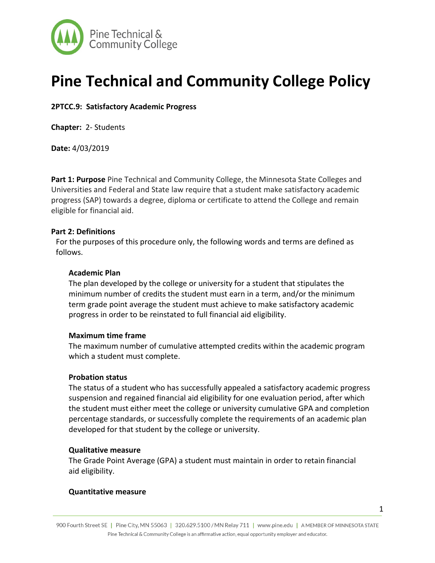

# **Pine Technical and Community College Policy**

**2PTCC.9: Satisfactory Academic Progress** 

**Chapter:** 2- Students

**Date:** 4/03/2019

**Part 1: Purpose** Pine Technical and Community College, the Minnesota State Colleges and Universities and Federal and State law require that a student make satisfactory academic progress (SAP) towards a degree, diploma or certificate to attend the College and remain eligible for financial aid.

# **Part 2: Definitions**

For the purposes of this procedure only, the following words and terms are defined as follows.

## **Academic Plan**

The plan developed by the college or university for a student that stipulates the minimum number of credits the student must earn in a term, and/or the minimum term grade point average the student must achieve to make satisfactory academic progress in order to be reinstated to full financial aid eligibility.

## **Maximum time frame**

The maximum number of cumulative attempted credits within the academic program which a student must complete.

# **Probation status**

The status of a student who has successfully appealed a satisfactory academic progress suspension and regained financial aid eligibility for one evaluation period, after which the student must either meet the college or university cumulative GPA and completion percentage standards, or successfully complete the requirements of an academic plan developed for that student by the college or university.

## **Qualitative measure**

The Grade Point Average (GPA) a student must maintain in order to retain financial aid eligibility.

## **Quantitative measure**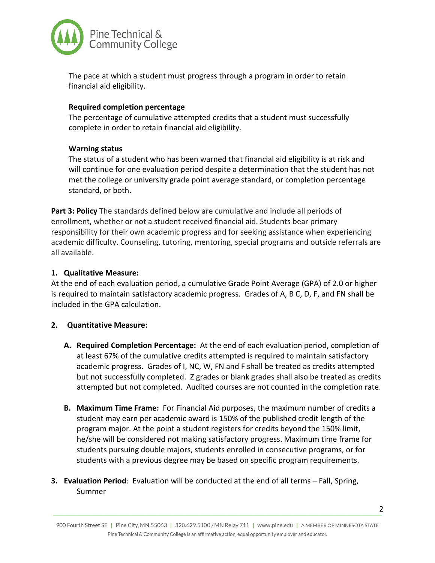

The pace at which a student must progress through a program in order to retain financial aid eligibility.

# **Required completion percentage**

The percentage of cumulative attempted credits that a student must successfully complete in order to retain financial aid eligibility.

# **Warning status**

The status of a student who has been warned that financial aid eligibility is at risk and will continue for one evaluation period despite a determination that the student has not met the college or university grade point average standard, or completion percentage standard, or both.

**Part 3: Policy** The standards defined below are cumulative and include all periods of enrollment, whether or not a student received financial aid. Students bear primary responsibility for their own academic progress and for seeking assistance when experiencing academic difficulty. Counseling, tutoring, mentoring, special programs and outside referrals are all available.

# **1. Qualitative Measure:**

At the end of each evaluation period, a cumulative Grade Point Average (GPA) of 2.0 or higher is required to maintain satisfactory academic progress. Grades of A, B C, D, F, and FN shall be included in the GPA calculation.

# **2. Quantitative Measure:**

- **A. Required Completion Percentage:** At the end of each evaluation period, completion of at least 67% of the cumulative credits attempted is required to maintain satisfactory academic progress. Grades of I, NC, W, FN and F shall be treated as credits attempted but not successfully completed. Z grades or blank grades shall also be treated as credits attempted but not completed. Audited courses are not counted in the completion rate.
- **B. Maximum Time Frame:** For Financial Aid purposes, the maximum number of credits a student may earn per academic award is 150% of the published credit length of the program major. At the point a student registers for credits beyond the 150% limit, he/she will be considered not making satisfactory progress. Maximum time frame for students pursuing double majors, students enrolled in consecutive programs, or for students with a previous degree may be based on specific program requirements.
- **3. Evaluation Period**: Evaluation will be conducted at the end of all terms Fall, Spring, Summer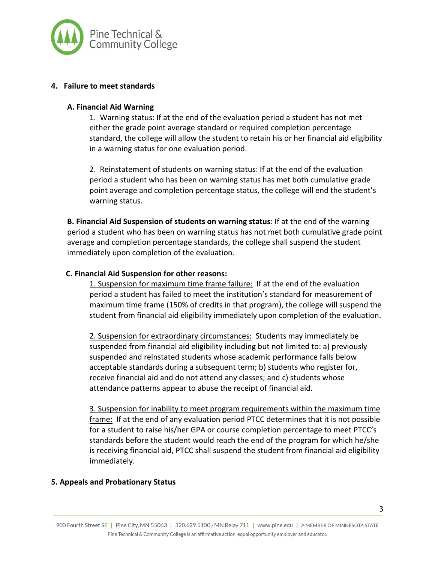

# **4. Failure to meet standards**

# **A. Financial Aid Warning**

1. Warning status: If at the end of the evaluation period a student has not met either the grade point average standard or required completion percentage standard, the college will allow the student to retain his or her financial aid eligibility in a warning status for one evaluation period.

2. Reinstatement of students on warning status: If at the end of the evaluation period a student who has been on warning status has met both cumulative grade point average and completion percentage status, the college will end the student's warning status.

**B. Financial Aid Suspension of students on warning status**: If at the end of the warning period a student who has been on warning status has not met both cumulative grade point average and completion percentage standards, the college shall suspend the student immediately upon completion of the evaluation.

# **C. Financial Aid Suspension for other reasons:**

1. Suspension for maximum time frame failure: If at the end of the evaluation period a student has failed to meet the institution's standard for measurement of maximum time frame (150% of credits in that program), the college will suspend the student from financial aid eligibility immediately upon completion of the evaluation.

2. Suspension for extraordinary circumstances: Students may immediately be suspended from financial aid eligibility including but not limited to: a) previously suspended and reinstated students whose academic performance falls below acceptable standards during a subsequent term; b) students who register for, receive financial aid and do not attend any classes; and c) students whose attendance patterns appear to abuse the receipt of financial aid.

3. Suspension for inability to meet program requirements within the maximum time frame: If at the end of any evaluation period PTCC determines that it is not possible for a student to raise his/her GPA or course completion percentage to meet PTCC's standards before the student would reach the end of the program for which he/she is receiving financial aid, PTCC shall suspend the student from financial aid eligibility immediately.

# **5. Appeals and Probationary Status**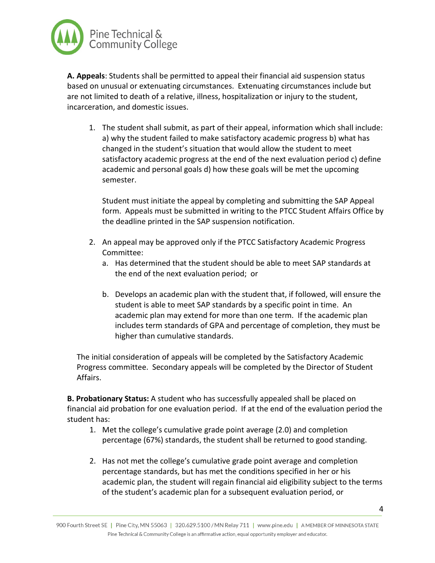

**A. Appeals**: Students shall be permitted to appeal their financial aid suspension status based on unusual or extenuating circumstances. Extenuating circumstances include but are not limited to death of a relative, illness, hospitalization or injury to the student, incarceration, and domestic issues.

1. The student shall submit, as part of their appeal, information which shall include: a) why the student failed to make satisfactory academic progress b) what has changed in the student's situation that would allow the student to meet satisfactory academic progress at the end of the next evaluation period c) define academic and personal goals d) how these goals will be met the upcoming semester.

Student must initiate the appeal by completing and submitting the SAP Appeal form. Appeals must be submitted in writing to the PTCC Student Affairs Office by the deadline printed in the SAP suspension notification.

- 2. An appeal may be approved only if the PTCC Satisfactory Academic Progress Committee:
	- a. Has determined that the student should be able to meet SAP standards at the end of the next evaluation period; or
	- b. Develops an academic plan with the student that, if followed, will ensure the student is able to meet SAP standards by a specific point in time. An academic plan may extend for more than one term. If the academic plan includes term standards of GPA and percentage of completion, they must be higher than cumulative standards.

The initial consideration of appeals will be completed by the Satisfactory Academic Progress committee. Secondary appeals will be completed by the Director of Student Affairs.

**B. Probationary Status:** A student who has successfully appealed shall be placed on financial aid probation for one evaluation period. If at the end of the evaluation period the student has:

- 1. Met the college's cumulative grade point average (2.0) and completion percentage (67%) standards, the student shall be returned to good standing.
- 2. Has not met the college's cumulative grade point average and completion percentage standards, but has met the conditions specified in her or his academic plan, the student will regain financial aid eligibility subject to the terms of the student's academic plan for a subsequent evaluation period, or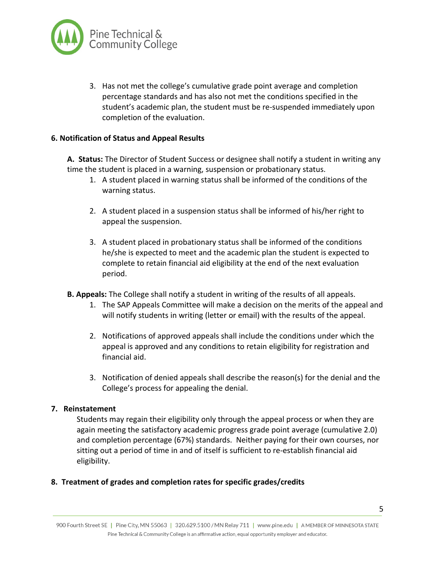

3. Has not met the college's cumulative grade point average and completion percentage standards and has also not met the conditions specified in the student's academic plan, the student must be re-suspended immediately upon completion of the evaluation.

# **6. Notification of Status and Appeal Results**

**A. Status:** The Director of Student Success or designee shall notify a student in writing any time the student is placed in a warning, suspension or probationary status.

- 1. A student placed in warning status shall be informed of the conditions of the warning status.
- 2. A student placed in a suspension status shall be informed of his/her right to appeal the suspension.
- 3. A student placed in probationary status shall be informed of the conditions he/she is expected to meet and the academic plan the student is expected to complete to retain financial aid eligibility at the end of the next evaluation period.
- **B. Appeals:** The College shall notify a student in writing of the results of all appeals.
	- 1. The SAP Appeals Committee will make a decision on the merits of the appeal and will notify students in writing (letter or email) with the results of the appeal.
	- 2. Notifications of approved appeals shall include the conditions under which the appeal is approved and any conditions to retain eligibility for registration and financial aid.
	- 3. Notification of denied appeals shall describe the reason(s) for the denial and the College's process for appealing the denial.

## **7. Reinstatement**

Students may regain their eligibility only through the appeal process or when they are again meeting the satisfactory academic progress grade point average (cumulative 2.0) and completion percentage (67%) standards. Neither paying for their own courses, nor sitting out a period of time in and of itself is sufficient to re-establish financial aid eligibility.

## **8. Treatment of grades and completion rates for specific grades/credits**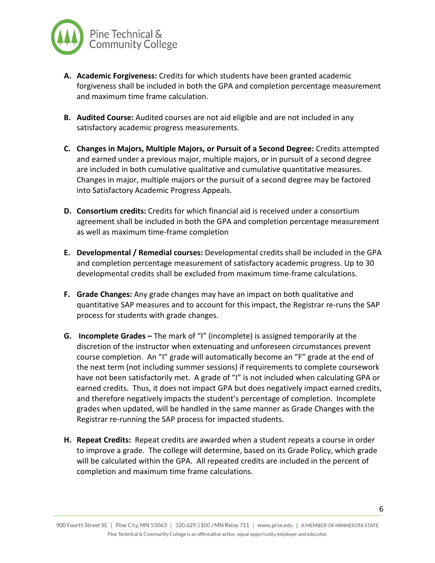

- **A. Academic Forgiveness:** Credits for which students have been granted academic forgiveness shall be included in both the GPA and completion percentage measurement and maximum time frame calculation.
- **B. Audited Course:** Audited courses are not aid eligible and are not included in any satisfactory academic progress measurements.
- **C. Changes in Majors, Multiple Majors, or Pursuit of a Second Degree:** Credits attempted and earned under a previous major, multiple majors, or in pursuit of a second degree are included in both cumulative qualitative and cumulative quantitative measures. Changes in major, multiple majors or the pursuit of a second degree may be factored into Satisfactory Academic Progress Appeals.
- **D. Consortium credits:** Credits for which financial aid is received under a consortium agreement shall be included in both the GPA and completion percentage measurement as well as maximum time-frame completion
- **E. Developmental / Remedial courses:** Developmental credits shall be included in the GPA and completion percentage measurement of satisfactory academic progress. Up to 30 developmental credits shall be excluded from maximum time-frame calculations.
- **F. Grade Changes:** Any grade changes may have an impact on both qualitative and quantitative SAP measures and to account for this impact, the Registrar re-runs the SAP process for students with grade changes.
- **G. Incomplete Grades –** The mark of "I" (incomplete) is assigned temporarily at the discretion of the instructor when extenuating and unforeseen circumstances prevent course completion. An "I" grade will automatically become an "F" grade at the end of the next term (not including summer sessions) if requirements to complete coursework have not been satisfactorily met. A grade of "I" is not included when calculating GPA or earned credits. Thus, it does not impact GPA but does negatively impact earned credits, and therefore negatively impacts the student's percentage of completion. Incomplete grades when updated, will be handled in the same manner as Grade Changes with the Registrar re-running the SAP process for impacted students.
- **H. Repeat Credits:** Repeat credits are awarded when a student repeats a course in order to improve a grade. The college will determine, based on its Grade Policy, which grade will be calculated within the GPA. All repeated credits are included in the percent of completion and maximum time frame calculations.